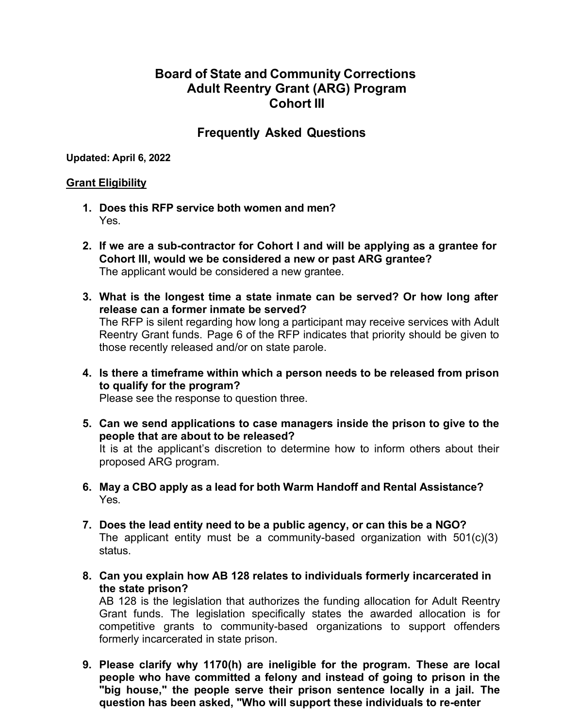# **Board of State and Community Corrections Adult Reentry Grant (ARG) Program Cohort III**

# **Frequently Asked Questions**

**Updated: April 6, 2022**

#### **Grant Eligibility**

- **1. Does this RFP service both women and men?** Yes.
- **2. If we are a sub-contractor for Cohort I and will be applying as a grantee for Cohort III, would we be considered a new or past ARG grantee?** The applicant would be considered a new grantee.
- **3. What is the longest time a state inmate can be served? Or how long after release can a former inmate be served?** The RFP is silent regarding how long a participant may receive services with Adult Reentry Grant funds. Page 6 of the RFP indicates that priority should be given to those recently released and/or on state parole.
- **4. Is there a timeframe within which a person needs to be released from prison to qualify for the program?**

Please see the response to question three.

- **5. Can we send applications to case managers inside the prison to give to the people that are about to be released?** It is at the applicant's discretion to determine how to inform others about their proposed ARG program.
- **6. May a CBO apply as a lead for both Warm Handoff and Rental Assistance?** Yes.
- **7. Does the lead entity need to be a public agency, or can this be a NGO?** The applicant entity must be a community-based organization with 501(c)(3) status.
- **8. Can you explain how AB 128 relates to individuals formerly incarcerated in the state prison?**

AB 128 is the legislation that authorizes the funding allocation for Adult Reentry Grant funds. The legislation specifically states the awarded allocation is for competitive grants to community-based organizations to support offenders formerly incarcerated in state prison.

**9. Please clarify why 1170(h) are ineligible for the program. These are local people who have committed a felony and instead of going to prison in the "big house," the people serve their prison sentence locally in a jail. The question has been asked, "Who will support these individuals to re-enter**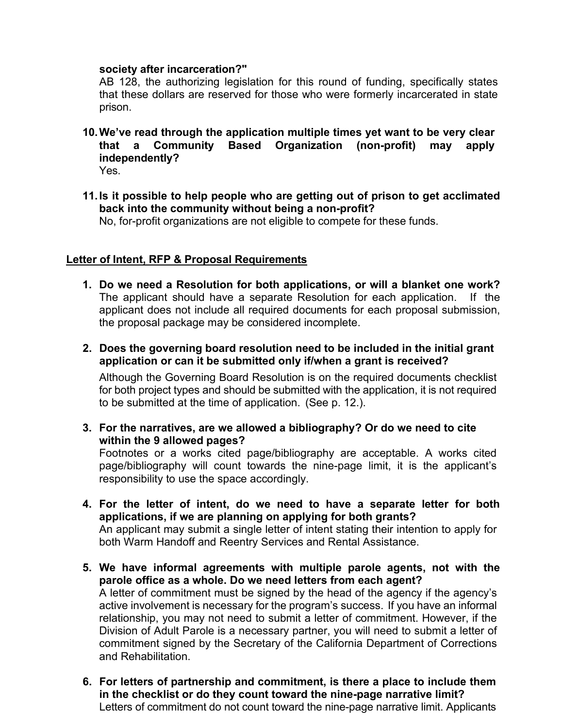#### **society after incarceration?"**

AB 128, the authorizing legislation for this round of funding, specifically states that these dollars are reserved for those who were formerly incarcerated in state prison.

**10.We've read through the application multiple times yet want to be very clear that a Community Based Organization (non-profit) may apply independently?**

Yes.

**11.Is it possible to help people who are getting out of prison to get acclimated back into the community without being a non-profit?**

No, for-profit organizations are not eligible to compete for these funds.

## **Letter of Intent, RFP & Proposal Requirements**

- **1. Do we need a Resolution for both applications, or will a blanket one work?**  The applicant should have a separate Resolution for each application. If the applicant does not include all required documents for each proposal submission, the proposal package may be considered incomplete.
- **2. Does the governing board resolution need to be included in the initial grant application or can it be submitted only if/when a grant is received?**

Although the Governing Board Resolution is on the required documents checklist for both project types and should be submitted with the application, it is not required to be submitted at the time of application. (See p. 12.).

**3. For the narratives, are we allowed a bibliography? Or do we need to cite within the 9 allowed pages?**

Footnotes or a works cited page/bibliography are acceptable. A works cited page/bibliography will count towards the nine-page limit, it is the applicant's responsibility to use the space accordingly.

- **4. For the letter of intent, do we need to have a separate letter for both applications, if we are planning on applying for both grants?** An applicant may submit a single letter of intent stating their intention to apply for both Warm Handoff and Reentry Services and Rental Assistance.
- **5. We have informal agreements with multiple parole agents, not with the parole office as a whole. Do we need letters from each agent?** A letter of commitment must be signed by the head of the agency if the agency's active involvement is necessary for the program's success. If you have an informal relationship, you may not need to submit a letter of commitment. However, if the Division of Adult Parole is a necessary partner, you will need to submit a letter of commitment signed by the Secretary of the California Department of Corrections and Rehabilitation.
- **6. For letters of partnership and commitment, is there a place to include them in the checklist or do they count toward the nine-page narrative limit?**  Letters of commitment do not count toward the nine-page narrative limit. Applicants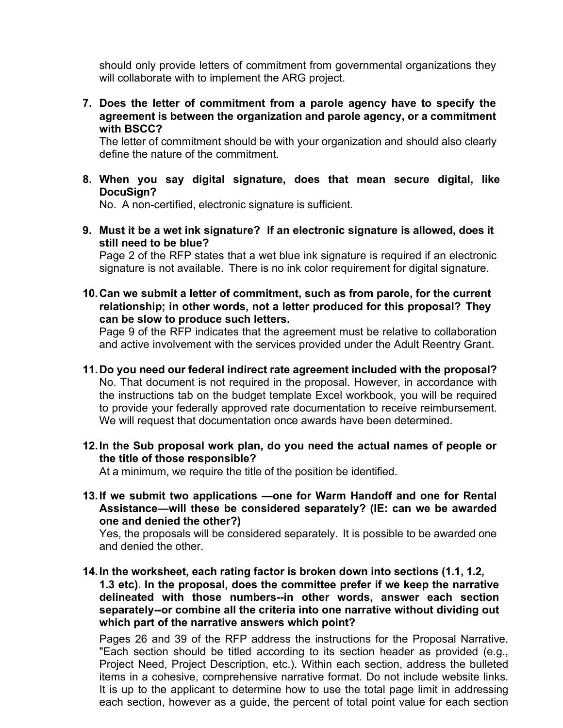should only provide letters of commitment from governmental organizations they will collaborate with to implement the ARG project.

**7. Does the letter of commitment from a parole agency have to specify the agreement is between the organization and parole agency, or a commitment with BSCC?**

The letter of commitment should be with your organization and should also clearly define the nature of the commitment.

**8. When you say digital signature, does that mean secure digital, like DocuSign?**

No. A non-certified, electronic signature is sufficient.

**9. Must it be a wet ink signature? If an electronic signature is allowed, does it still need to be blue?**

Page 2 of the RFP states that a wet blue ink signature is required if an electronic signature is not available. There is no ink color requirement for digital signature.

**10.Can we submit a letter of commitment, such as from parole, for the current relationship; in other words, not a letter produced for this proposal? They can be slow to produce such letters.**

Page 9 of the RFP indicates that the agreement must be relative to collaboration and active involvement with the services provided under the Adult Reentry Grant.

- **11.Do you need our federal indirect rate agreement included with the proposal?**  No. That document is not required in the proposal. However, in accordance with the instructions tab on the budget template Excel workbook, you will be required to provide your federally approved rate documentation to receive reimbursement. We will request that documentation once awards have been determined.
- **12.In the Sub proposal work plan, do you need the actual names of people or the title of those responsible?**

At a minimum, we require the title of the position be identified.

**13.If we submit two applications —one for Warm Handoff and one for Rental Assistance—will these be considered separately? (IE: can we be awarded one and denied the other?)**

Yes, the proposals will be considered separately. It is possible to be awarded one and denied the other.

**14.In the worksheet, each rating factor is broken down into sections (1.1, 1.2, 1.3 etc). In the proposal, does the committee prefer if we keep the narrative delineated with those numbers--in other words, answer each section separately--or combine all the criteria into one narrative without dividing out which part of the narrative answers which point?**

Pages 26 and 39 of the RFP address the instructions for the Proposal Narrative. "Each section should be titled according to its section header as provided (e.g., Project Need, Project Description, etc.). Within each section, address the bulleted items in a cohesive, comprehensive narrative format. Do not include website links. It is up to the applicant to determine how to use the total page limit in addressing each section, however as a guide, the percent of total point value for each section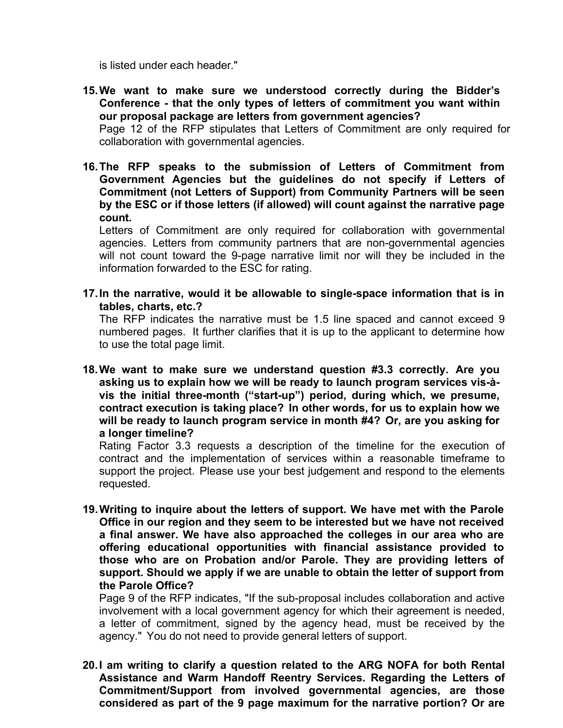is listed under each header."

- **15.We want to make sure we understood correctly during the Bidder's Conference - that the only types of letters of commitment you want within our proposal package are letters from government agencies?** Page 12 of the RFP stipulates that Letters of Commitment are only required for collaboration with governmental agencies.
- **16.The RFP speaks to the submission of Letters of Commitment from Government Agencies but the guidelines do not specify if Letters of Commitment (not Letters of Support) from Community Partners will be seen by the ESC or if those letters (if allowed) will count against the narrative page count.**

Letters of Commitment are only required for collaboration with governmental agencies. Letters from community partners that are non-governmental agencies will not count toward the 9-page narrative limit nor will they be included in the information forwarded to the ESC for rating.

**17.In the narrative, would it be allowable to single-space information that is in tables, charts, etc.?**

The RFP indicates the narrative must be 1.5 line spaced and cannot exceed 9 numbered pages. It further clarifies that it is up to the applicant to determine how to use the total page limit.

**18.We want to make sure we understand question #3.3 correctly. Are you asking us to explain how we will be ready to launch program services vis-àvis the initial three-month ("start-up") period, during which, we presume, contract execution is taking place? In other words, for us to explain how we will be ready to launch program service in month #4? Or, are you asking for a longer timeline?**

Rating Factor 3.3 requests a description of the timeline for the execution of contract and the implementation of services within a reasonable timeframe to support the project. Please use your best judgement and respond to the elements requested.

**19.Writing to inquire about the letters of support. We have met with the Parole Office in our region and they seem to be interested but we have not received a final answer. We have also approached the colleges in our area who are offering educational opportunities with financial assistance provided to those who are on Probation and/or Parole. They are providing letters of support. Should we apply if we are unable to obtain the letter of support from the Parole Office?**

Page 9 of the RFP indicates, "If the sub-proposal includes collaboration and active involvement with a local government agency for which their agreement is needed, a letter of commitment, signed by the agency head, must be received by the agency." You do not need to provide general letters of support.

**20.I am writing to clarify a question related to the ARG NOFA for both Rental Assistance and Warm Handoff Reentry Services. Regarding the Letters of Commitment/Support from involved governmental agencies, are those considered as part of the 9 page maximum for the narrative portion? Or are**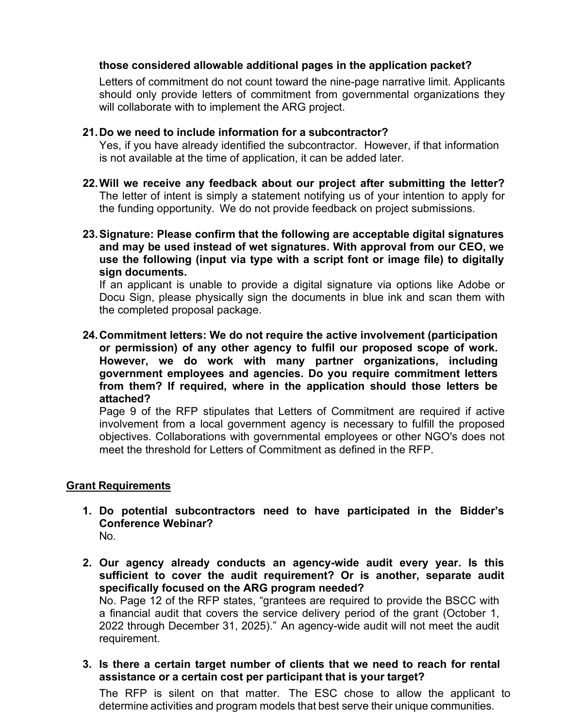## **those considered allowable additional pages in the application packet?**

Letters of commitment do not count toward the nine-page narrative limit. Applicants should only provide letters of commitment from governmental organizations they will collaborate with to implement the ARG project.

#### **21.Do we need to include information for a subcontractor?**

Yes, if you have already identified the subcontractor. However, if that information is not available at the time of application, it can be added later.

- **22.Will we receive any feedback about our project after submitting the letter?**  The letter of intent is simply a statement notifying us of your intention to apply for the funding opportunity. We do not provide feedback on project submissions.
- **23.Signature: Please confirm that the following are acceptable digital signatures and may be used instead of wet signatures. With approval from our CEO, we use the following (input via type with a script font or image file) to digitally sign documents.**

If an applicant is unable to provide a digital signature via options like Adobe or Docu Sign, please physically sign the documents in blue ink and scan them with the completed proposal package.

**24.Commitment letters: We do not require the active involvement (participation or permission) of any other agency to fulfil our proposed scope of work. However, we do work with many partner organizations, including government employees and agencies. Do you require commitment letters from them? If required, where in the application should those letters be attached?**

Page 9 of the RFP stipulates that Letters of Commitment are required if active involvement from a local government agency is necessary to fulfill the proposed objectives. Collaborations with governmental employees or other NGO's does not meet the threshold for Letters of Commitment as defined in the RFP.

## **Grant Requirements**

- **1. Do potential subcontractors need to have participated in the Bidder's Conference Webinar?** No.
- **2. Our agency already conducts an agency-wide audit every year. Is this sufficient to cover the audit requirement? Or is another, separate audit specifically focused on the ARG program needed?** No. Page 12 of the RFP states, "grantees are required to provide the BSCC with a financial audit that covers the service delivery period of the grant (October 1, 2022 through December 31, 2025)." An agency-wide audit will not meet the audit requirement.
- **3. Is there a certain target number of clients that we need to reach for rental assistance or a certain cost per participant that is your target?**

The RFP is silent on that matter. The ESC chose to allow the applicant to determine activities and program models that best serve their unique communities.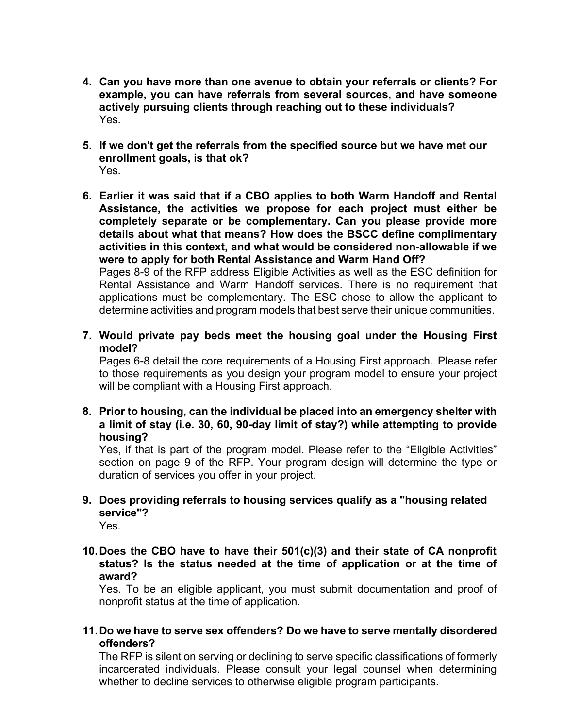- **4. Can you have more than one avenue to obtain your referrals or clients? For example, you can have referrals from several sources, and have someone actively pursuing clients through reaching out to these individuals?** Yes.
- **5. If we don't get the referrals from the specified source but we have met our enrollment goals, is that ok?** Yes.
- **6. Earlier it was said that if a CBO applies to both Warm Handoff and Rental Assistance, the activities we propose for each project must either be completely separate or be complementary. Can you please provide more details about what that means? How does the BSCC define complimentary activities in this context, and what would be considered non-allowable if we were to apply for both Rental Assistance and Warm Hand Off?**

Pages 8-9 of the RFP address Eligible Activities as well as the ESC definition for Rental Assistance and Warm Handoff services. There is no requirement that applications must be complementary. The ESC chose to allow the applicant to determine activities and program models that best serve their unique communities.

**7. Would private pay beds meet the housing goal under the Housing First model?**

Pages 6-8 detail the core requirements of a Housing First approach. Please refer to those requirements as you design your program model to ensure your project will be compliant with a Housing First approach.

**8. Prior to housing, can the individual be placed into an emergency shelter with a limit of stay (i.e. 30, 60, 90-day limit of stay?) while attempting to provide housing?**

Yes, if that is part of the program model. Please refer to the "Eligible Activities" section on page 9 of the RFP. Your program design will determine the type or duration of services you offer in your project.

- **9. Does providing referrals to housing services qualify as a "housing related service"?**
	- Yes.
- **10.Does the CBO have to have their 501(c)(3) and their state of CA nonprofit status? Is the status needed at the time of application or at the time of award?**

Yes. To be an eligible applicant, you must submit documentation and proof of nonprofit status at the time of application.

**11.Do we have to serve sex offenders? Do we have to serve mentally disordered offenders?**

The RFP is silent on serving or declining to serve specific classifications of formerly incarcerated individuals. Please consult your legal counsel when determining whether to decline services to otherwise eligible program participants.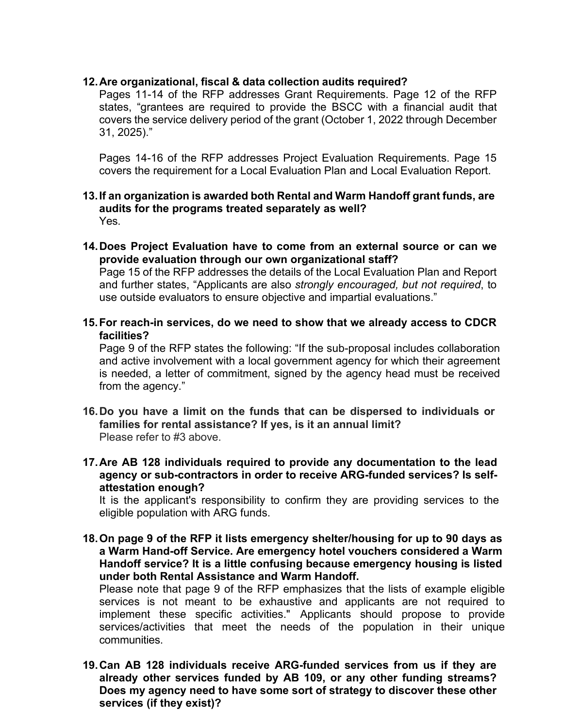## **12.Are organizational, fiscal & data collection audits required?**

Pages 11-14 of the RFP addresses Grant Requirements. Page 12 of the RFP states, "grantees are required to provide the BSCC with a financial audit that covers the service delivery period of the grant (October 1, 2022 through December 31, 2025)."

Pages 14-16 of the RFP addresses Project Evaluation Requirements. Page 15 covers the requirement for a Local Evaluation Plan and Local Evaluation Report.

#### **13.If an organization is awarded both Rental and Warm Handoff grant funds, are audits for the programs treated separately as well?** Yes.

**14.Does Project Evaluation have to come from an external source or can we provide evaluation through our own organizational staff?**

Page 15 of the RFP addresses the details of the Local Evaluation Plan and Report and further states, "Applicants are also *strongly encouraged, but not required*, to use outside evaluators to ensure objective and impartial evaluations."

**15.For reach-in services, do we need to show that we already access to CDCR facilities?**

Page 9 of the RFP states the following: "If the sub-proposal includes collaboration and active involvement with a local government agency for which their agreement is needed, a letter of commitment, signed by the agency head must be received from the agency."

- **16.Do you have a limit on the funds that can be dispersed to individuals or families for rental assistance? If yes, is it an annual limit?** Please refer to #3 above.
- **17.Are AB 128 individuals required to provide any documentation to the lead agency or sub-contractors in order to receive ARG-funded services? Is selfattestation enough?**

It is the applicant's responsibility to confirm they are providing services to the eligible population with ARG funds.

**18.On page 9 of the RFP it lists emergency shelter/housing for up to 90 days as a Warm Hand-off Service. Are emergency hotel vouchers considered a Warm Handoff service? It is a little confusing because emergency housing is listed under both Rental Assistance and Warm Handoff.**

Please note that page 9 of the RFP emphasizes that the lists of example eligible services is not meant to be exhaustive and applicants are not required to implement these specific activities." Applicants should propose to provide services/activities that meet the needs of the population in their unique communities.

**19.Can AB 128 individuals receive ARG-funded services from us if they are already other services funded by AB 109, or any other funding streams? Does my agency need to have some sort of strategy to discover these other services (if they exist)?**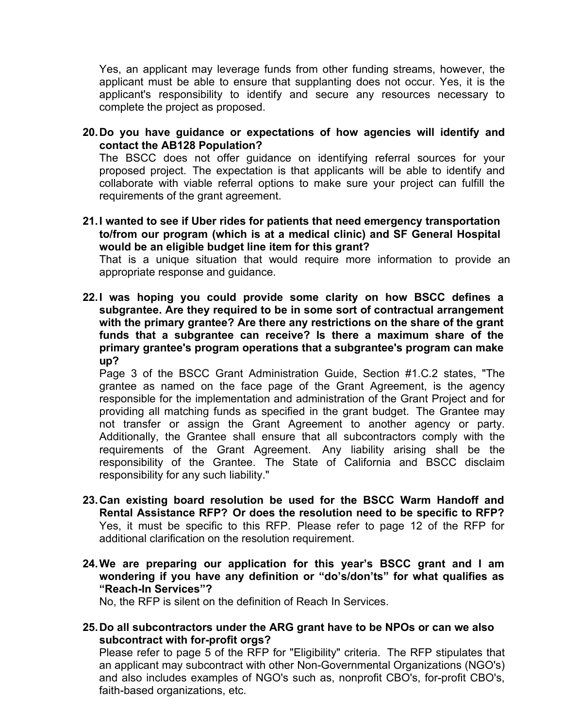Yes, an applicant may leverage funds from other funding streams, however, the applicant must be able to ensure that supplanting does not occur. Yes, it is the applicant's responsibility to identify and secure any resources necessary to complete the project as proposed.

**20.Do you have guidance or expectations of how agencies will identify and contact the AB128 Population?**

The BSCC does not offer guidance on identifying referral sources for your proposed project. The expectation is that applicants will be able to identify and collaborate with viable referral options to make sure your project can fulfill the requirements of the grant agreement.

**21.I wanted to see if Uber rides for patients that need emergency transportation to/from our program (which is at a medical clinic) and SF General Hospital would be an eligible budget line item for this grant?**

That is a unique situation that would require more information to provide an appropriate response and guidance.

**22.I was hoping you could provide some clarity on how BSCC defines a subgrantee. Are they required to be in some sort of contractual arrangement with the primary grantee? Are there any restrictions on the share of the grant funds that a subgrantee can receive? Is there a maximum share of the primary grantee's program operations that a subgrantee's program can make up?**

Page 3 of the BSCC Grant Administration Guide, Section #1.C.2 states, "The grantee as named on the face page of the Grant Agreement, is the agency responsible for the implementation and administration of the Grant Project and for providing all matching funds as specified in the grant budget. The Grantee may not transfer or assign the Grant Agreement to another agency or party. Additionally, the Grantee shall ensure that all subcontractors comply with the requirements of the Grant Agreement. Any liability arising shall be the responsibility of the Grantee. The State of California and BSCC disclaim responsibility for any such liability."

- **23.Can existing board resolution be used for the BSCC Warm Handoff and Rental Assistance RFP? Or does the resolution need to be specific to RFP?**  Yes, it must be specific to this RFP. Please refer to page 12 of the RFP for additional clarification on the resolution requirement.
- **24.We are preparing our application for this year's BSCC grant and I am wondering if you have any definition or "do's/don'ts" for what qualifies as "Reach-In Services"?**

No, the RFP is silent on the definition of Reach In Services.

**25.Do all subcontractors under the ARG grant have to be NPOs or can we also subcontract with for-profit orgs?**

Please refer to page 5 of the RFP for "Eligibility" criteria. The RFP stipulates that an applicant may subcontract with other Non-Governmental Organizations (NGO's) and also includes examples of NGO's such as, nonprofit CBO's, for-profit CBO's, faith-based organizations, etc.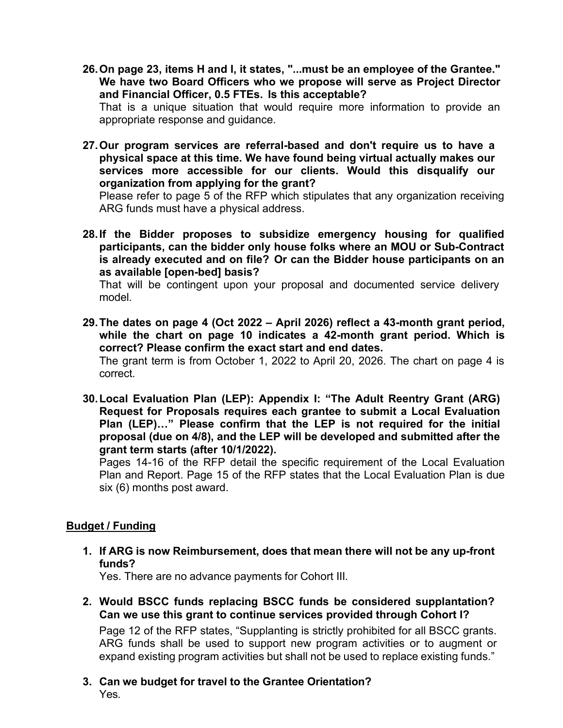- **26.On page 23, items H and I, it states, "...must be an employee of the Grantee." We have two Board Officers who we propose will serve as Project Director and Financial Officer, 0.5 FTEs. Is this acceptable?** That is a unique situation that would require more information to provide an appropriate response and guidance.
- **27.Our program services are referral-based and don't require us to have a physical space at this time. We have found being virtual actually makes our services more accessible for our clients. Would this disqualify our organization from applying for the grant?**

Please refer to page 5 of the RFP which stipulates that any organization receiving ARG funds must have a physical address.

**28.If the Bidder proposes to subsidize emergency housing for qualified participants, can the bidder only house folks where an MOU or Sub-Contract is already executed and on file? Or can the Bidder house participants on an as available [open-bed] basis?**

That will be contingent upon your proposal and documented service delivery model.

- **29.The dates on page 4 (Oct 2022 April 2026) reflect a 43-month grant period, while the chart on page 10 indicates a 42-month grant period. Which is correct? Please confirm the exact start and end dates.** The grant term is from October 1, 2022 to April 20, 2026. The chart on page 4 is correct.
- **30.Local Evaluation Plan (LEP): Appendix I: "The Adult Reentry Grant (ARG) Request for Proposals requires each grantee to submit a Local Evaluation Plan (LEP)…" Please confirm that the LEP is not required for the initial proposal (due on 4/8), and the LEP will be developed and submitted after the grant term starts (after 10/1/2022).**

Pages 14-16 of the RFP detail the specific requirement of the Local Evaluation Plan and Report. Page 15 of the RFP states that the Local Evaluation Plan is due six (6) months post award.

## **Budget / Funding**

**1. If ARG is now Reimbursement, does that mean there will not be any up-front funds?**

Yes. There are no advance payments for Cohort III.

**2. Would BSCC funds replacing BSCC funds be considered supplantation? Can we use this grant to continue services provided through Cohort I?**

Page 12 of the RFP states, "Supplanting is strictly prohibited for all BSCC grants. ARG funds shall be used to support new program activities or to augment or expand existing program activities but shall not be used to replace existing funds."

**3. Can we budget for travel to the Grantee Orientation?** Yes.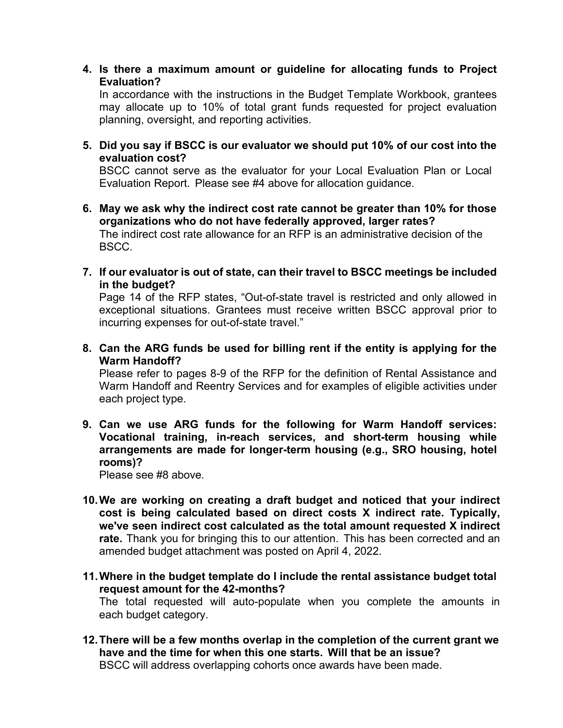**4. Is there a maximum amount or guideline for allocating funds to Project Evaluation?**

In accordance with the instructions in the Budget Template Workbook, grantees may allocate up to 10% of total grant funds requested for project evaluation planning, oversight, and reporting activities.

**5. Did you say if BSCC is our evaluator we should put 10% of our cost into the evaluation cost?**

BSCC cannot serve as the evaluator for your Local Evaluation Plan or Local Evaluation Report. Please see #4 above for allocation guidance.

- **6. May we ask why the indirect cost rate cannot be greater than 10% for those organizations who do not have federally approved, larger rates?** The indirect cost rate allowance for an RFP is an administrative decision of the BSCC.
- **7. If our evaluator is out of state, can their travel to BSCC meetings be included in the budget?**

Page 14 of the RFP states, "Out-of-state travel is restricted and only allowed in exceptional situations. Grantees must receive written BSCC approval prior to incurring expenses for out-of-state travel."

**8. Can the ARG funds be used for billing rent if the entity is applying for the Warm Handoff?**

Please refer to pages 8-9 of the RFP for the definition of Rental Assistance and Warm Handoff and Reentry Services and for examples of eligible activities under each project type.

**9. Can we use ARG funds for the following for Warm Handoff services: Vocational training, in-reach services, and short-term housing while arrangements are made for longer-term housing (e.g., SRO housing, hotel rooms)?**

Please see #8 above.

- **10.We are working on creating a draft budget and noticed that your indirect cost is being calculated based on direct costs X indirect rate. Typically, we've seen indirect cost calculated as the total amount requested X indirect rate.** Thank you for bringing this to our attention. This has been corrected and an amended budget attachment was posted on April 4, 2022.
- **11.Where in the budget template do I include the rental assistance budget total request amount for the 42-months?**

The total requested will auto-populate when you complete the amounts in each budget category.

**12.There will be a few months overlap in the completion of the current grant we have and the time for when this one starts. Will that be an issue?** BSCC will address overlapping cohorts once awards have been made.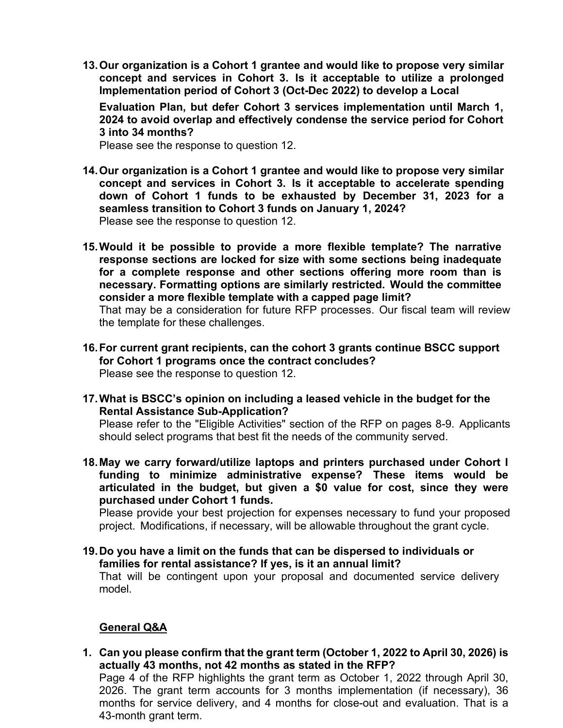**13.Our organization is a Cohort 1 grantee and would like to propose very similar concept and services in Cohort 3. Is it acceptable to utilize a prolonged Implementation period of Cohort 3 (Oct-Dec 2022) to develop a Local**

**Evaluation Plan, but defer Cohort 3 services implementation until March 1, 2024 to avoid overlap and effectively condense the service period for Cohort 3 into 34 months?**

Please see the response to question 12.

- **14.Our organization is a Cohort 1 grantee and would like to propose very similar concept and services in Cohort 3. Is it acceptable to accelerate spending down of Cohort 1 funds to be exhausted by December 31, 2023 for a seamless transition to Cohort 3 funds on January 1, 2024?** Please see the response to question 12.
- **15.Would it be possible to provide a more flexible template? The narrative response sections are locked for size with some sections being inadequate for a complete response and other sections offering more room than is necessary. Formatting options are similarly restricted. Would the committee consider a more flexible template with a capped page limit?**

That may be a consideration for future RFP processes. Our fiscal team will review the template for these challenges.

- **16.For current grant recipients, can the cohort 3 grants continue BSCC support for Cohort 1 programs once the contract concludes?** Please see the response to question 12.
- **17.What is BSCC's opinion on including a leased vehicle in the budget for the Rental Assistance Sub-Application?**

Please refer to the "Eligible Activities" section of the RFP on pages 8-9. Applicants should select programs that best fit the needs of the community served.

**18.May we carry forward/utilize laptops and printers purchased under Cohort I funding to minimize administrative expense? These items would be articulated in the budget, but given a \$0 value for cost, since they were purchased under Cohort 1 funds.**

Please provide your best projection for expenses necessary to fund your proposed project. Modifications, if necessary, will be allowable throughout the grant cycle.

**19.Do you have a limit on the funds that can be dispersed to individuals or families for rental assistance? If yes, is it an annual limit?**

That will be contingent upon your proposal and documented service delivery model.

## **General Q&A**

**1. Can you please confirm that the grant term (October 1, 2022 to April 30, 2026) is actually 43 months, not 42 months as stated in the RFP?**

Page 4 of the RFP highlights the grant term as October 1, 2022 through April 30, 2026. The grant term accounts for 3 months implementation (if necessary), 36 months for service delivery, and 4 months for close-out and evaluation. That is a 43-month grant term.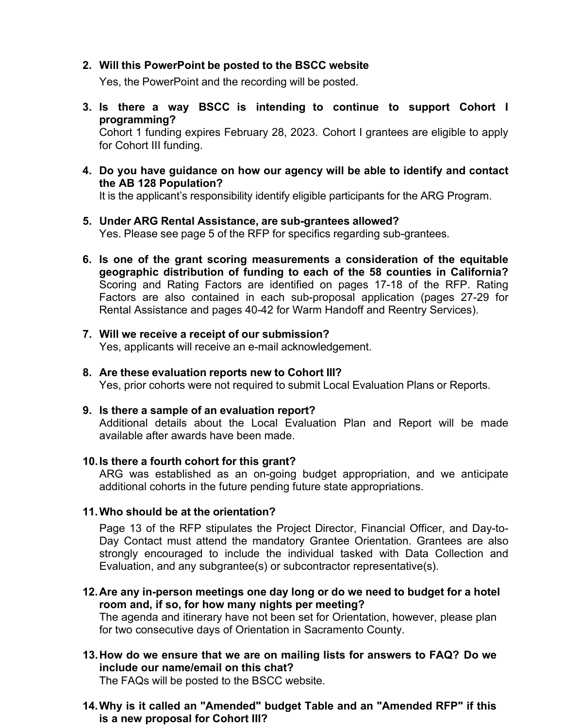#### **2. Will this PowerPoint be posted to the BSCC website**

Yes, the PowerPoint and the recording will be posted.

**3. Is there a way BSCC is intending to continue to support Cohort I programming?**

Cohort 1 funding expires February 28, 2023. Cohort I grantees are eligible to apply for Cohort III funding.

**4. Do you have guidance on how our agency will be able to identify and contact the AB 128 Population?**

It is the applicant's responsibility identify eligible participants for the ARG Program.

- **5. Under ARG Rental Assistance, are sub-grantees allowed?** Yes. Please see page 5 of the RFP for specifics regarding sub-grantees.
- **6. Is one of the grant scoring measurements a consideration of the equitable geographic distribution of funding to each of the 58 counties in California?**  Scoring and Rating Factors are identified on pages 17-18 of the RFP. Rating Factors are also contained in each sub-proposal application (pages 27-29 for Rental Assistance and pages 40-42 for Warm Handoff and Reentry Services).
- **7. Will we receive a receipt of our submission?** Yes, applicants will receive an e-mail acknowledgement.
- **8. Are these evaluation reports new to Cohort III?** Yes, prior cohorts were not required to submit Local Evaluation Plans or Reports.
- **9. Is there a sample of an evaluation report?**

Additional details about the Local Evaluation Plan and Report will be made available after awards have been made.

#### **10.Is there a fourth cohort for this grant?**

ARG was established as an on-going budget appropriation, and we anticipate additional cohorts in the future pending future state appropriations.

## **11.Who should be at the orientation?**

Page 13 of the RFP stipulates the Project Director, Financial Officer, and Day-to-Day Contact must attend the mandatory Grantee Orientation. Grantees are also strongly encouraged to include the individual tasked with Data Collection and Evaluation, and any subgrantee(s) or subcontractor representative(s).

**12.Are any in-person meetings one day long or do we need to budget for a hotel room and, if so, for how many nights per meeting?**

The agenda and itinerary have not been set for Orientation, however, please plan for two consecutive days of Orientation in Sacramento County.

**13.How do we ensure that we are on mailing lists for answers to FAQ? Do we include our name/email on this chat?**

The FAQs will be posted to the BSCC website.

**14.Why is it called an "Amended" budget Table and an "Amended RFP" if this is a new proposal for Cohort III?**